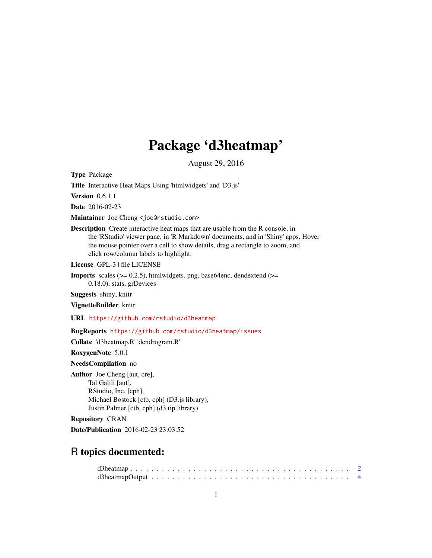## Package 'd3heatmap'

August 29, 2016

<span id="page-0-0"></span>Type Package

Title Interactive Heat Maps Using 'htmlwidgets' and 'D3.js'

Version 0.6.1.1

Date 2016-02-23

Maintainer Joe Cheng <joe@rstudio.com>

Description Create interactive heat maps that are usable from the R console, in the 'RStudio' viewer pane, in 'R Markdown' documents, and in 'Shiny' apps. Hover the mouse pointer over a cell to show details, drag a rectangle to zoom, and click row/column labels to highlight.

License GPL-3 | file LICENSE

**Imports** scales  $(>= 0.2.5)$ , htmlwidgets, png, base64enc, dendextend  $(>=$ 0.18.0), stats, grDevices

Suggests shiny, knitr

VignetteBuilder knitr

URL <https://github.com/rstudio/d3heatmap>

BugReports <https://github.com/rstudio/d3heatmap/issues>

Collate 'd3heatmap.R' 'dendrogram.R'

RoxygenNote 5.0.1

NeedsCompilation no

Author Joe Cheng [aut, cre], Tal Galili [aut], RStudio, Inc. [cph], Michael Bostock [ctb, cph] (D3.js library), Justin Palmer [ctb, cph] (d3.tip library)

Repository CRAN

Date/Publication 2016-02-23 23:03:52

### R topics documented: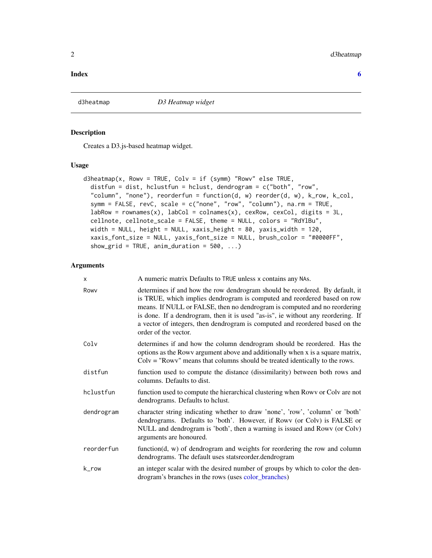#### <span id="page-1-0"></span>**Index** [6](#page-5-0) **6**

<span id="page-1-1"></span>

#### Description

Creates a D3.js-based heatmap widget.

#### Usage

```
d3heatmap(x, Rowv = TRUE, Colv = if (symm) "Rowv" else TRUE,
  distfun = dist, hclustfun = hclust, dendrogram = c("both", "row",
  "column", "none"), reorderfun = function(d, w) reorder(d, w), k_row, k_col,
  symm = FALSE, revC, scale = c("none", "row", "column"), na.rm = TRUE,
  labRow = rownames(x), labCol = colnames(x), cexRow, cexCol, digits = 3L,cellnote, cellnote_scale = FALSE, theme = NULL, colors = "RdYlBu",
 width = NULL, height = NULL, xaxis_height = 80, yaxis_width = 120,
  xaxis_font_size = NULL, yaxis_font_size = NULL, brush_color = "#0000FF",
  show_grid = TRUE, anim_duration = 500, ...)
```
#### Arguments

| $\times$   | A numeric matrix Defaults to TRUE unless x contains any NAs.                                                                                                                                                                                                                                                                                                                                                                      |
|------------|-----------------------------------------------------------------------------------------------------------------------------------------------------------------------------------------------------------------------------------------------------------------------------------------------------------------------------------------------------------------------------------------------------------------------------------|
| Rowy       | determines if and how the row dendrogram should be reordered. By default, it<br>is TRUE, which implies dendrogram is computed and reordered based on row<br>means. If NULL or FALSE, then no dendrogram is computed and no reordering<br>is done. If a dendrogram, then it is used "as-is", ie without any reordering. If<br>a vector of integers, then dendrogram is computed and reordered based on the<br>order of the vector. |
| Colv       | determines if and how the column dendrogram should be reordered. Has the<br>options as the Rowy argument above and additionally when x is a square matrix,<br>$Colv = "Rowv"$ means that columns should be treated identically to the rows.                                                                                                                                                                                       |
| distfun    | function used to compute the distance (dissimilarity) between both rows and<br>columns. Defaults to dist.                                                                                                                                                                                                                                                                                                                         |
| hclustfun  | function used to compute the hierarchical clustering when Rowy or Colv are not<br>dendrograms. Defaults to hclust.                                                                                                                                                                                                                                                                                                                |
| dendrogram | character string indicating whether to draw 'none', 'row', 'column' or 'both'<br>dendrograms. Defaults to 'both'. However, if Rowy (or Colv) is FALSE or<br>NULL and dendrogram is 'both', then a warning is issued and Rowy (or Colv)<br>arguments are honoured.                                                                                                                                                                 |
| reorderfun | function $(d, w)$ of dendrogram and weights for reordering the row and column<br>dendrograms. The default uses statsreorder.dendrogram                                                                                                                                                                                                                                                                                            |
| k_row      | an integer scalar with the desired number of groups by which to color the den-<br>drogram's branches in the rows (uses color_branches)                                                                                                                                                                                                                                                                                            |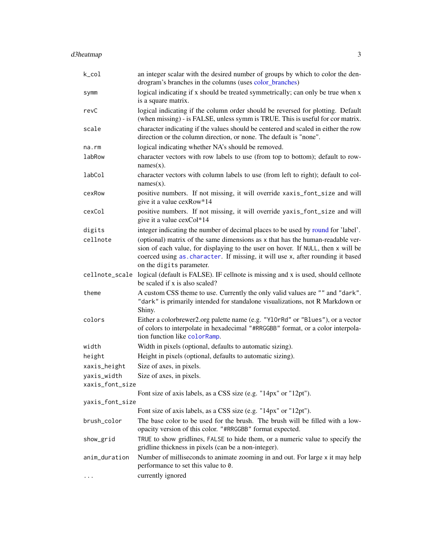<span id="page-2-0"></span>

| k_col           | an integer scalar with the desired number of groups by which to color the den-<br>drogram's branches in the columns (uses color_branches)                                                                                                                                        |
|-----------------|----------------------------------------------------------------------------------------------------------------------------------------------------------------------------------------------------------------------------------------------------------------------------------|
| symm            | logical indicating if x should be treated symmetrically; can only be true when x<br>is a square matrix.                                                                                                                                                                          |
| revC            | logical indicating if the column order should be reversed for plotting. Default<br>(when missing) - is FALSE, unless symm is TRUE. This is useful for cor matrix.                                                                                                                |
| scale           | character indicating if the values should be centered and scaled in either the row<br>direction or the column direction, or none. The default is "none".                                                                                                                         |
| $na$ . $rm$     | logical indicating whether NA's should be removed.                                                                                                                                                                                                                               |
| labRow          | character vectors with row labels to use (from top to bottom); default to row-<br>$names(x)$ .                                                                                                                                                                                   |
| labCol          | character vectors with column labels to use (from left to right); default to col-<br>$names(x)$ .                                                                                                                                                                                |
| cexRow          | positive numbers. If not missing, it will override xaxis_font_size and will<br>give it a value cexRow*14                                                                                                                                                                         |
| cexCol          | positive numbers. If not missing, it will override yaxis_font_size and will<br>give it a value cexCol*14                                                                                                                                                                         |
| digits          | integer indicating the number of decimal places to be used by round for 'label'.                                                                                                                                                                                                 |
| cellnote        | (optional) matrix of the same dimensions as x that has the human-readable ver-<br>sion of each value, for displaying to the user on hover. If NULL, then x will be<br>coerced using as character. If missing, it will use x, after rounding it based<br>on the digits parameter. |
|                 | cellnote_scale logical (default is FALSE). IF cellnote is missing and x is used, should cellnote<br>be scaled if x is also scaled?                                                                                                                                               |
| theme           | A custom CSS theme to use. Currently the only valid values are "" and "dark".<br>"dark" is primarily intended for standalone visualizations, not R Markdown or<br>Shiny.                                                                                                         |
| colors          | Either a colorbrewer2.org palette name (e.g. "Y10rRd" or "Blues"), or a vector<br>of colors to interpolate in hexadecimal "#RRGGBB" format, or a color interpola-<br>tion function like colorRamp.                                                                               |
| width           | Width in pixels (optional, defaults to automatic sizing).                                                                                                                                                                                                                        |
| height          | Height in pixels (optional, defaults to automatic sizing).                                                                                                                                                                                                                       |
| xaxis_height    | Size of axes, in pixels.                                                                                                                                                                                                                                                         |
| yaxis_width     | Size of axes, in pixels.                                                                                                                                                                                                                                                         |
| xaxis_font_size |                                                                                                                                                                                                                                                                                  |
|                 | Font size of axis labels, as a CSS size (e.g. "14px" or "12pt").                                                                                                                                                                                                                 |
| yaxis_font_size |                                                                                                                                                                                                                                                                                  |
|                 | Font size of axis labels, as a CSS size (e.g. "14px" or "12pt").                                                                                                                                                                                                                 |
| brush_color     | The base color to be used for the brush. The brush will be filled with a low-<br>opacity version of this color. "#RRGGBB" format expected.                                                                                                                                       |
| show_grid       | TRUE to show gridlines, FALSE to hide them, or a numeric value to specify the<br>gridline thickness in pixels (can be a non-integer).                                                                                                                                            |
| anim_duration   | Number of milliseconds to animate zooming in and out. For large x it may help<br>performance to set this value to 0.                                                                                                                                                             |
| $\cdots$        | currently ignored                                                                                                                                                                                                                                                                |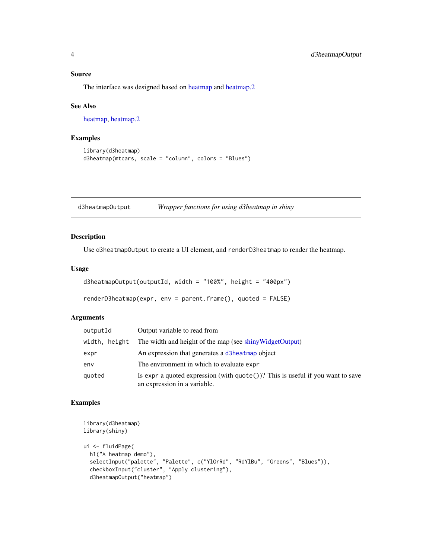#### <span id="page-3-0"></span>Source

The interface was designed based on [heatmap](#page-0-0) and [heatmap.2](#page-0-0)

#### See Also

[heatmap,](#page-0-0) [heatmap.2](#page-0-0)

#### Examples

```
library(d3heatmap)
d3heatmap(mtcars, scale = "column", colors = "Blues")
```
d3heatmapOutput *Wrapper functions for using d3heatmap in shiny*

#### Description

Use d3heatmapOutput to create a UI element, and renderD3heatmap to render the heatmap.

#### Usage

```
d3heatmapOutput(outputId, width = "100\%", height = "400px")
```
renderD3heatmap(expr, env = parent.frame(), quoted = FALSE)

#### Arguments

| outputId      | Output variable to read from                                                                                             |
|---------------|--------------------------------------------------------------------------------------------------------------------------|
| width, height | The width and height of the map (see shiny Widget Output)                                                                |
| expr          | An expression that generates a d3heatmap object                                                                          |
| env           | The environment in which to evaluate expr                                                                                |
| quoted        | Is expr a quoted expression (with $\text{quote}()$ )? This is useful if you want to save<br>an expression in a variable. |

#### Examples

```
library(d3heatmap)
library(shiny)
ui <- fluidPage(
  h1("A heatmap demo"),
  selectInput("palette", "Palette", c("YlOrRd", "RdYlBu", "Greens", "Blues")),
  checkboxInput("cluster", "Apply clustering"),
  d3heatmapOutput("heatmap")
```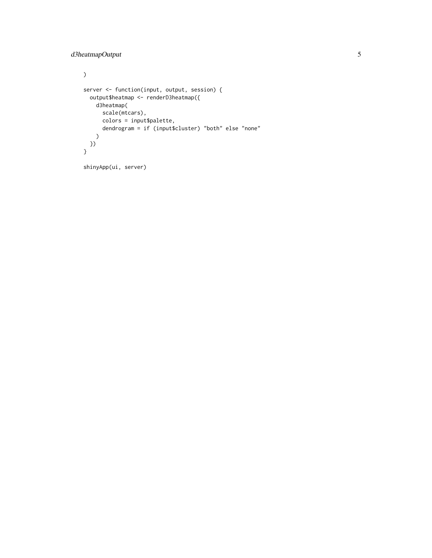```
\overline{)}server <- function(input, output, session) {
 output$heatmap <- renderD3heatmap({
   d3heatmap(
     scale(mtcars),
      colors = input$palette,
      dendrogram = if (input$cluster) "both" else "none"
    \lambda})
}
shinyApp(ui, server)
```